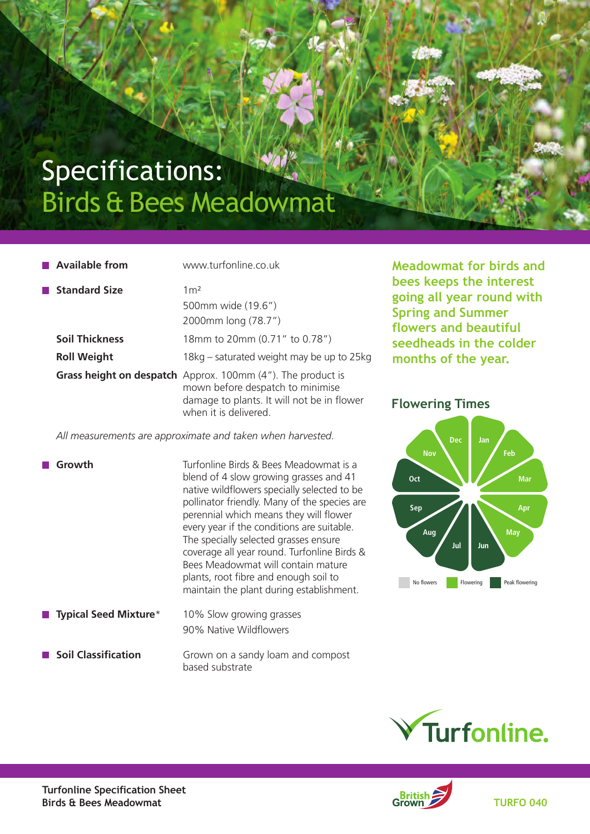# Specifications: Birds & Bees Meadowmat

| Available from               | www.turfonline.co.uk                                                                                                                                                          |
|------------------------------|-------------------------------------------------------------------------------------------------------------------------------------------------------------------------------|
| $\blacksquare$ Standard Size | 1 <sup>m²</sup>                                                                                                                                                               |
|                              | 500mm wide (19.6")                                                                                                                                                            |
|                              | 2000mm long (78.7")                                                                                                                                                           |
| <b>Soil Thickness</b>        | 18mm to 20mm (0.71" to 0.78")                                                                                                                                                 |
| <b>Roll Weight</b>           | 18kg – saturated weight may be up to 25kg                                                                                                                                     |
|                              | <b>Grass height on despatch</b> Approx. 100mm (4"). The product is<br>mown before despatch to minimise<br>damage to plants. It will not be in flower<br>when it is delivered. |

 *All measurements are approximate and taken when harvested.*

 **Growth** Turfonline Birds & Bees Meadowmat is a blend of 4 slow growing grasses and 41 native wildflowers specially selected to be pollinator friendly. Many of the species are perennial which means they will flower every year if the conditions are suitable. The specially selected grasses ensure coverage all year round. Turfonline Birds & Bees Meadowmat will contain mature plants, root fibre and enough soil to maintain the plant during establishment. **Typical Seed Mixture**\* 10% Slow growing grasses 90% Native Wildflowers

**Soil Classification** Grown on a sandy loam and compost based substrate

**Meadowmat for birds and bees keeps the interest going all year round with Spring and Summer flowers and beautiful seedheads in the colder months of the year.**

### **Flowering Times**